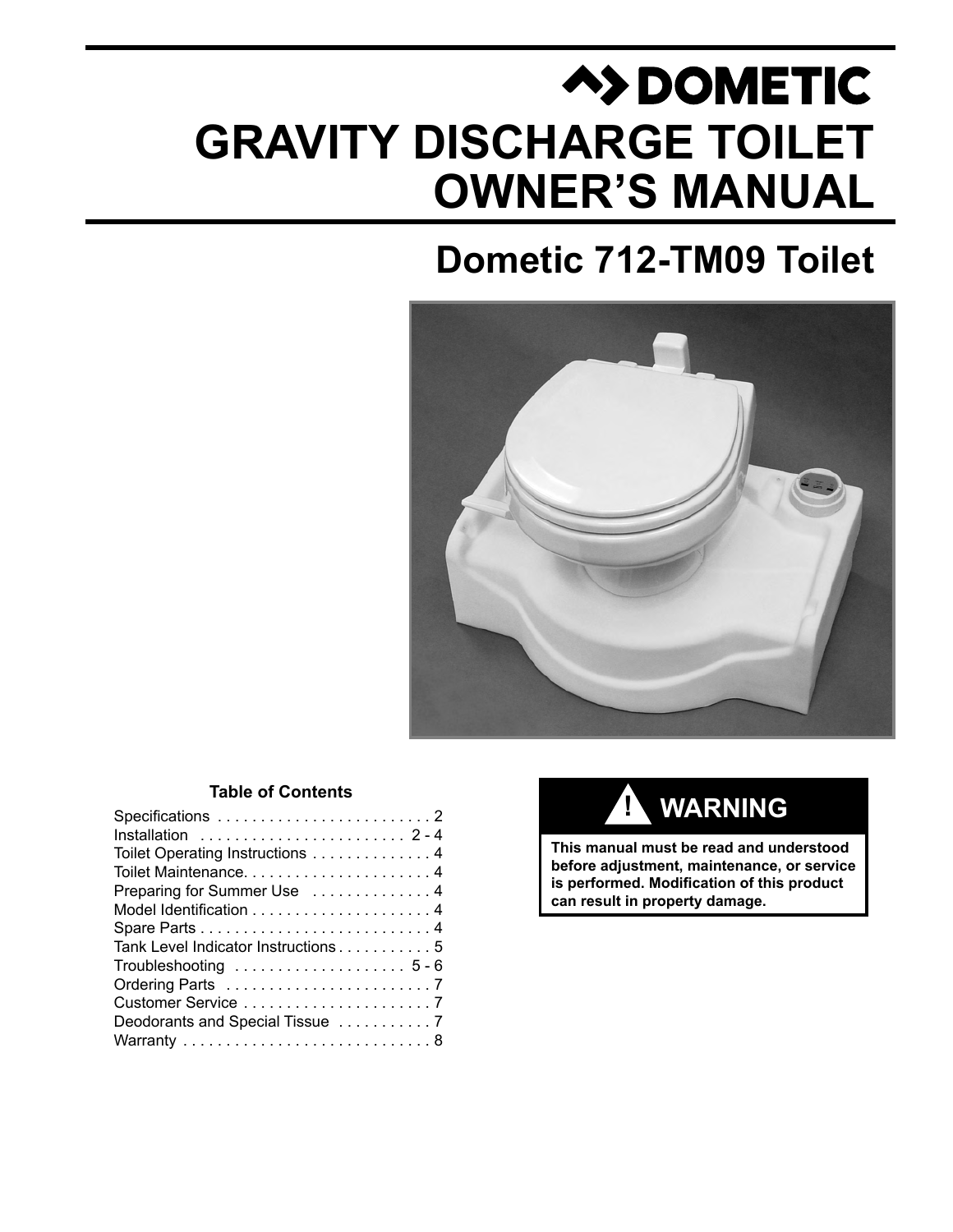# **A>DOMETIC GRAVITY DISCHARGE TOILET OWNER'S MANUAL**

## **Dometic 712-TM09 Toilet**



#### **Table of Contents**

### $\overline{\text{WARMING}}$

**This manual must be read and understood before adjustment, maintenance, or service is performed. Modification of this product can result in property damage.**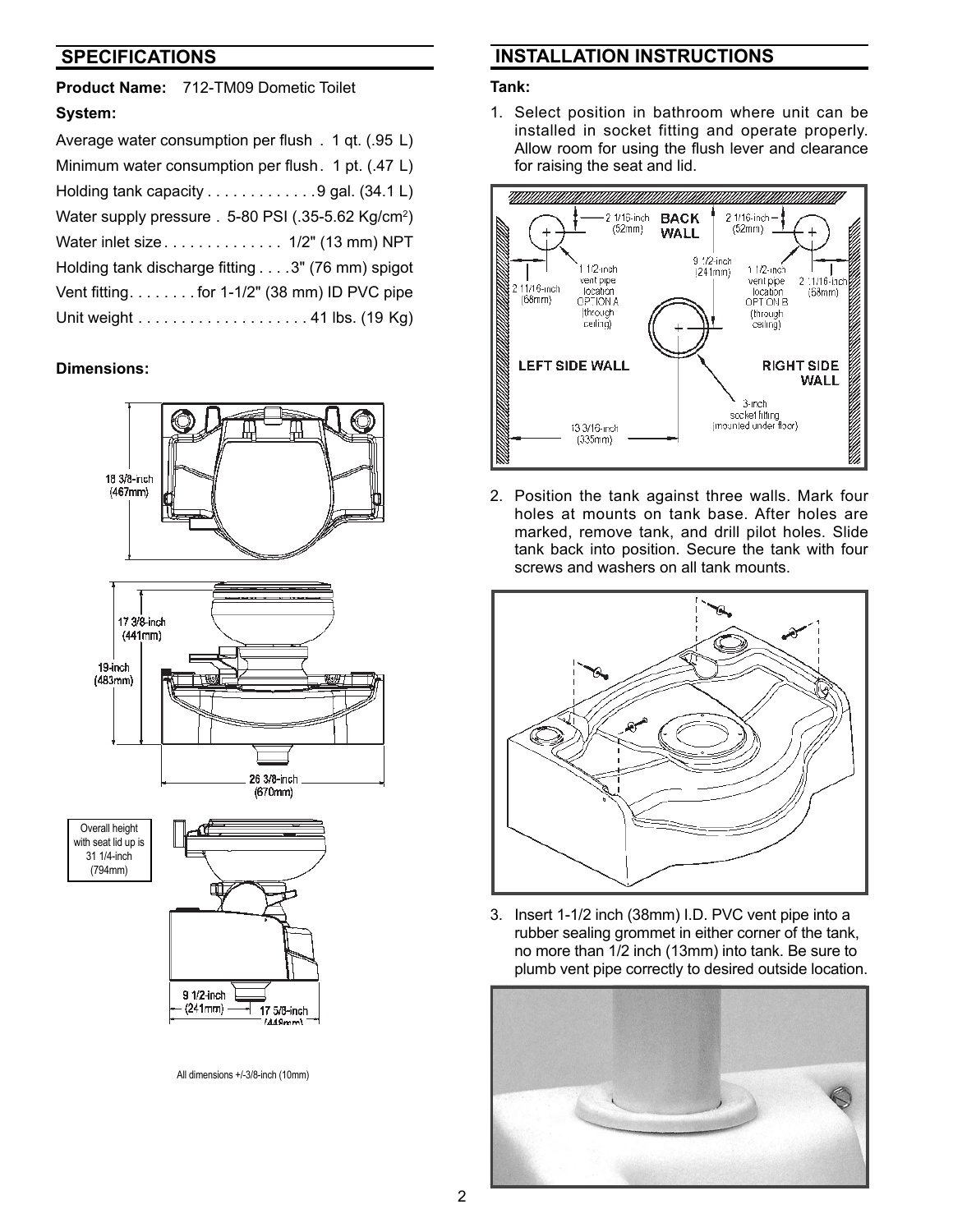#### **SPECIFICATIONS**

**Product Name:** 712-TM09 Dometic Toilet **System:**

| Average water consumption per flush . 1 qt. (.95 L)             |
|-----------------------------------------------------------------|
| Minimum water consumption per flush. 1 pt. (.47 L)              |
| Holding tank capacity 9 gal. (34.1 L)                           |
| Water supply pressure . 5-80 PSI (.35-5.62 Kg/cm <sup>2</sup> ) |
| Water inlet size 1/2" (13 mm) NPT                               |
| Holding tank discharge fitting 3" (76 mm) spigot                |
| Vent fitting. for 1-1/2" (38 mm) ID PVC pipe                    |
|                                                                 |

#### **Dimensions:**





All dimensions +/-3/8-inch (10mm)

#### **INSTALLATION INSTRUCTIONS**

#### **Tank:**

1. Select position in bathroom where unit can be installed in socket fitting and operate properly. Allow room for using the flush lever and clearance for raising the seat and lid.



2. Position the tank against three walls. Mark four holes at mounts on tank base. After holes are marked, remove tank, and drill pilot holes. Slide tank back into position. Secure the tank with four screws and washers on all tank mounts.



3. Insert 1-1/2 inch (38mm) I.D. PVC vent pipe into a rubber sealing grommet in either corner of the tank, no more than 1/2 inch (13mm) into tank. Be sure to plumb vent pipe correctly to desired outside location.

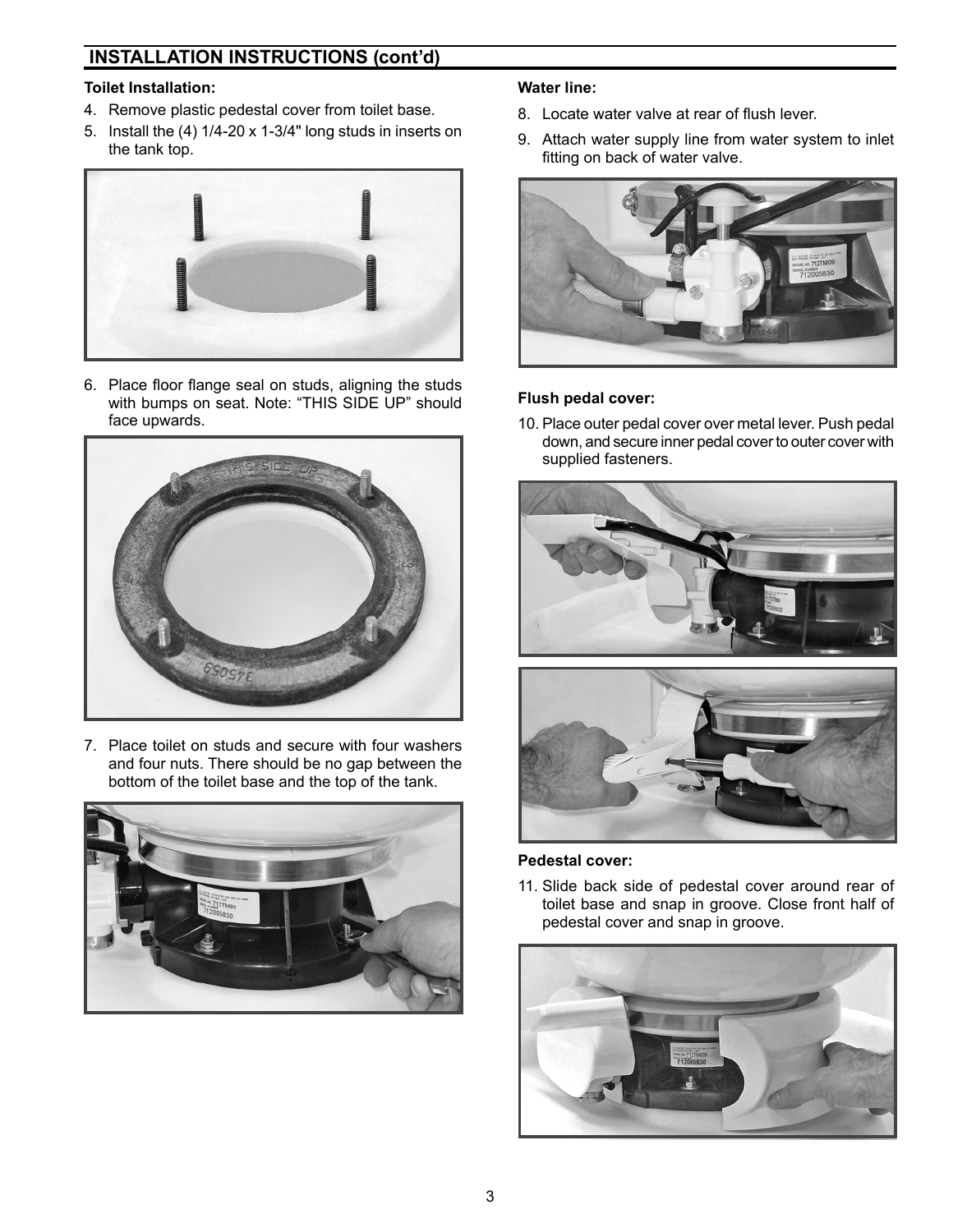#### **INSTALLATION INSTRUCTIONS (cont'd)**

#### **Toilet Installation:**

- 4. Remove plastic pedestal cover from toilet base.
- 5. Install the (4) 1/4-20 x 1-3/4" long studs in inserts on the tank top.



6. Place floor flange seal on studs, aligning the studs with bumps on seat. Note: "THIS SIDE UP" should face upwards.



7. Place toilet on studs and secure with four washers and four nuts. There should be no gap between the bottom of the toilet base and the top of the tank.



#### **Water line:**

- 8. Locate water valve at rear of flush lever.
- 9. Attach water supply line from water system to inlet fitting on back of water valve.



#### **Flush pedal cover:**

10. Place outer pedal cover over metal lever. Push pedal down, and secure inner pedal cover to outer cover with supplied fasteners.





#### **Pedestal cover:**

11. Slide back side of pedestal cover around rear of toilet base and snap in groove. Close front half of pedestal cover and snap in groove.

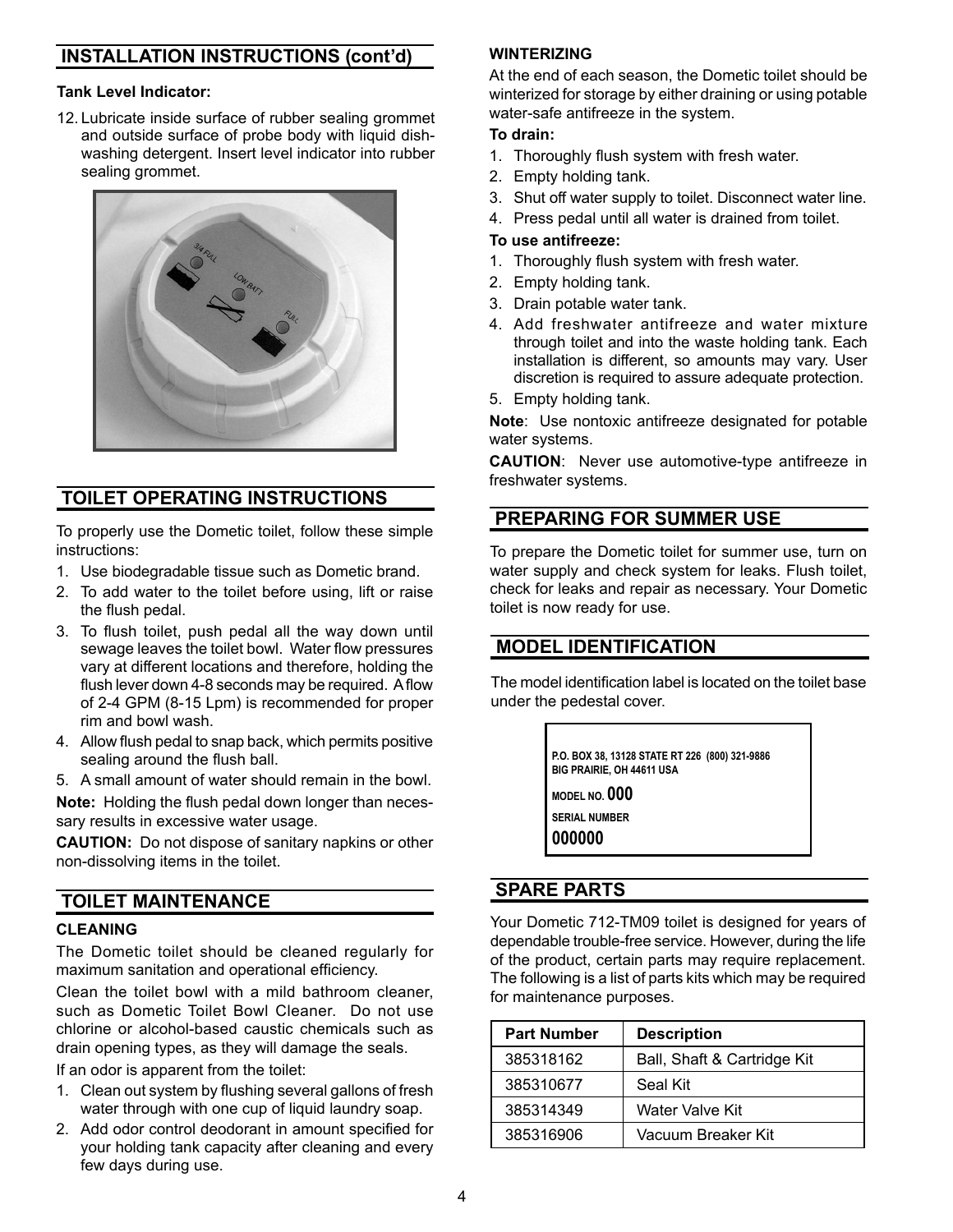### **INSTALLATION INSTRUCTIONS (cont'd)**

#### **Tank Level Indicator:**

12. Lubricate inside surface of rubber sealing grommet and outside surface of probe body with liquid dishwashing detergent. Insert level indicator into rubber sealing grommet.



### **TOILET OPERATING INSTRUCTIONS**

To properly use the Dometic toilet, follow these simple instructions:

- 1. Use biodegradable tissue such as Dometic brand.
- 2. To add water to the toilet before using, lift or raise the flush pedal.
- 3. To flush toilet, push pedal all the way down until sewage leaves the toilet bowl. Water flow pressures vary at different locations and therefore, holding the flush lever down 4-8 seconds may be required. A flow of 2-4 GPM (8-15 Lpm) is recommended for proper rim and bowl wash.
- 4. Allow flush pedal to snap back, which permits positive sealing around the flush ball.
- 5. A small amount of water should remain in the bowl.

**Note:** Holding the flush pedal down longer than necessary results in excessive water usage.

**CAUTION:** Do not dispose of sanitary napkins or other non-dissolving items in the toilet.

### **TOILET MAINTENANCE**

#### **CLEANING**

The Dometic toilet should be cleaned regularly for maximum sanitation and operational efficiency.

Clean the toilet bowl with a mild bathroom cleaner, such as Dometic Toilet Bowl Cleaner. Do not use chlorine or alcohol-based caustic chemicals such as drain opening types, as they will damage the seals.

If an odor is apparent from the toilet:

- 1. Clean out system by flushing several gallons of fresh water through with one cup of liquid laundry soap.
- 2. Add odor control deodorant in amount specified for your holding tank capacity after cleaning and every few days during use.

#### **WINTERIZING**

At the end of each season, the Dometic toilet should be winterized for storage by either draining or using potable water-safe antifreeze in the system.

#### **To drain:**

- 1. Thoroughly flush system with fresh water.
- 2. Empty holding tank.
- 3. Shut off water supply to toilet. Disconnect water line.
- 4. Press pedal until all water is drained from toilet.

#### **To use antifreeze:**

- 1. Thoroughly flush system with fresh water.
- 2. Empty holding tank.
- 3. Drain potable water tank.
- 4. Add freshwater antifreeze and water mixture through toilet and into the waste holding tank. Each installation is different, so amounts may vary. User discretion is required to assure adequate protection.
- 5. Empty holding tank.

**Note**: Use nontoxic antifreeze designated for potable water systems.

**CAUTION**: Never use automotive-type antifreeze in freshwater systems.

#### **PREPARING FOR SUMMER USE**

To prepare the Dometic toilet for summer use, turn on water supply and check system for leaks. Flush toilet, check for leaks and repair as necessary. Your Dometic toilet is now ready for use.

#### **MODEL IDENTIFICATION**

The model identification label is located on the toilet base under the pedestal cover.

> **P.O. BOX 38, 13128 STATE RT 226 (800) 321-9886 BIG PRAIRIE, OH 44611 USA**

**MODEL NO. 000 SERIAL NUMBER 000000**

### **SPARE PARTS**

Your Dometic 712-TM09 toilet is designed for years of dependable trouble-free service. However, during the life of the product, certain parts may require replacement. The following is a list of parts kits which may be required for maintenance purposes.

| <b>Part Number</b> | <b>Description</b>          |
|--------------------|-----------------------------|
| 385318162          | Ball, Shaft & Cartridge Kit |
| 385310677          | Seal Kit                    |
| 385314349          | Water Valve Kit             |
| 385316906          | Vacuum Breaker Kit          |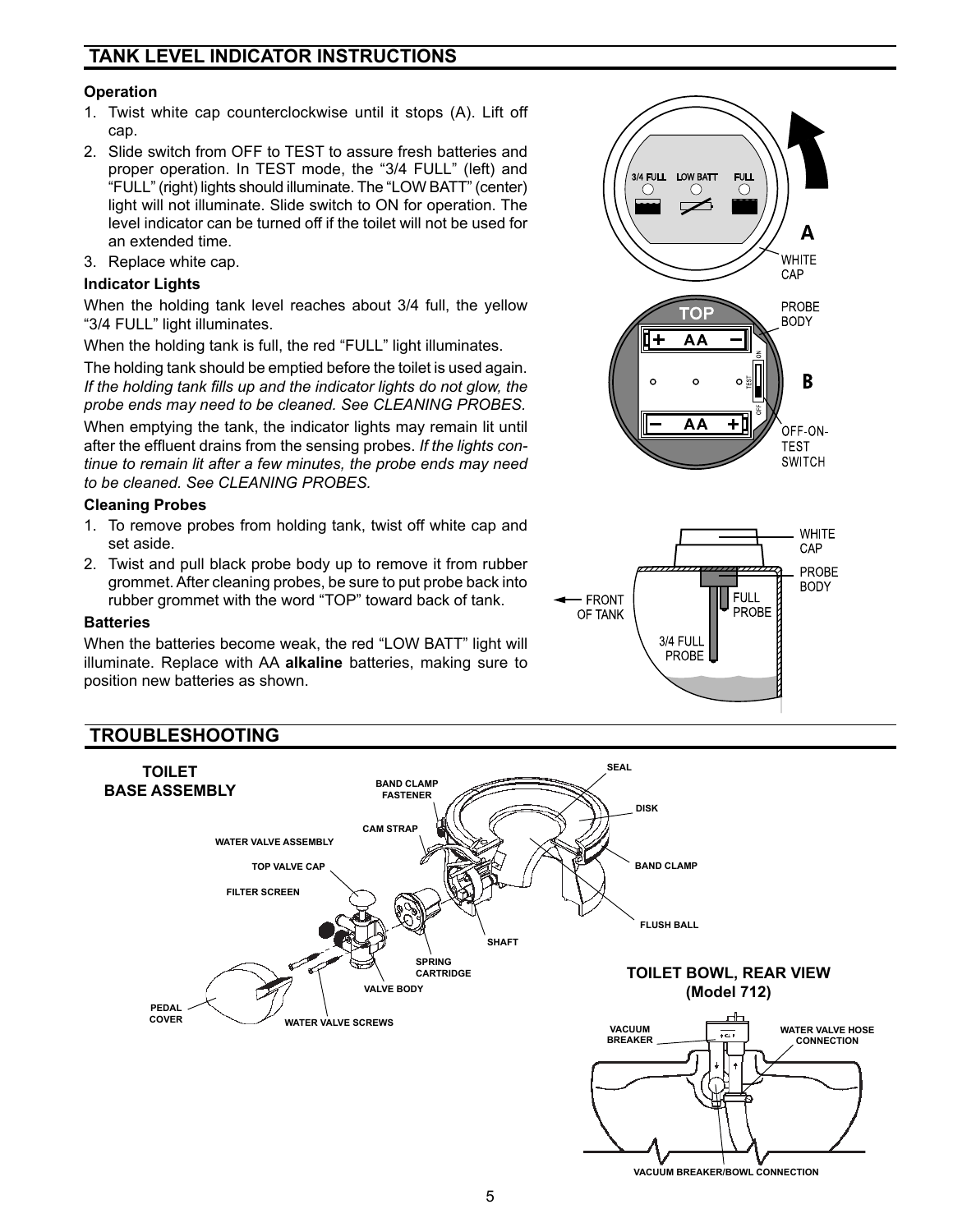### **TANK LEVEL INDICATOR INSTRUCTIONS**

#### **Operation**

- 1. Twist white cap counterclockwise until it stops (A). Lift off cap.
- 2. Slide switch from OFF to TEST to assure fresh batteries and proper operation. In TEST mode, the "3/4 FULL" (left) and "FULL" (right) lights should illuminate. The "LOW BATT" (center) light will not illuminate. Slide switch to ON for operation. The level indicator can be turned off if the toilet will not be used for an extended time.
- 3. Replace white cap.

#### **Indicator Lights**

When the holding tank level reaches about 3/4 full, the yellow "3/4 FULL" light illuminates.

When the holding tank is full, the red "FULL" light illuminates.

The holding tank should be emptied before the toilet is used again. *If the holding tank fills up and the indicator lights do not glow, the probe ends may need to be cleaned. See CLEANING PROBES.*

When emptying the tank, the indicator lights may remain lit until after the effluent drains from the sensing probes. *If the lights continue to remain lit after a few minutes, the probe ends may need to be cleaned. See CLEANING PROBES.*

#### **Cleaning Probes**

- 1. To remove probes from holding tank, twist off white cap and set aside.
- 2. Twist and pull black probe body up to remove it from rubber grommet. After cleaning probes, be sure to put probe back into rubber grommet with the word "TOP" toward back of tank.

#### **Batteries**

When the batteries become weak, the red "LOW BATT" light will illuminate. Replace with AA **alkaline** batteries, making sure to position new batteries as shown.

### **TROUBLESHOOTING**





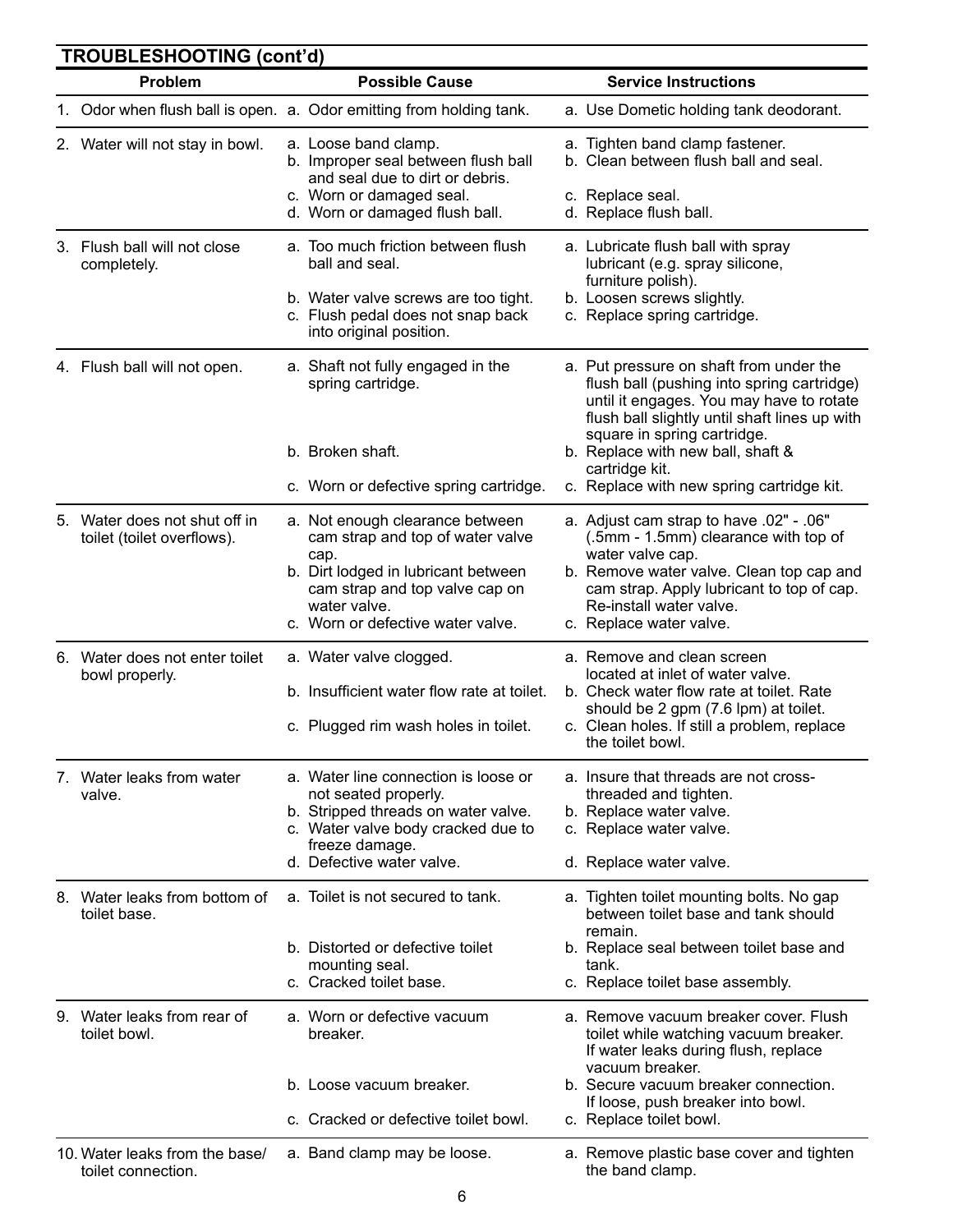|    | Problem                                                     | <b>Possible Cause</b>                                                                                                                                                                    | <b>Service Instructions</b>                                                                                                                                                                                       |
|----|-------------------------------------------------------------|------------------------------------------------------------------------------------------------------------------------------------------------------------------------------------------|-------------------------------------------------------------------------------------------------------------------------------------------------------------------------------------------------------------------|
|    |                                                             | 1. Odor when flush ball is open. a. Odor emitting from holding tank.                                                                                                                     | a. Use Dometic holding tank deodorant.                                                                                                                                                                            |
|    | 2. Water will not stay in bowl.                             | a. Loose band clamp.<br>b. Improper seal between flush ball<br>and seal due to dirt or debris.<br>c. Worn or damaged seal.                                                               | a. Tighten band clamp fastener.<br>b. Clean between flush ball and seal.<br>c. Replace seal.                                                                                                                      |
|    |                                                             | d. Worn or damaged flush ball.                                                                                                                                                           | d. Replace flush ball.                                                                                                                                                                                            |
| 3. | Flush ball will not close<br>completely.                    | a. Too much friction between flush<br>ball and seal.<br>b. Water valve screws are too tight.<br>c. Flush pedal does not snap back                                                        | a. Lubricate flush ball with spray<br>lubricant (e.g. spray silicone,<br>furniture polish).<br>b. Loosen screws slightly.<br>c. Replace spring cartridge.                                                         |
|    |                                                             | into original position.                                                                                                                                                                  |                                                                                                                                                                                                                   |
|    | 4. Flush ball will not open.                                | a. Shaft not fully engaged in the<br>spring cartridge.                                                                                                                                   | a. Put pressure on shaft from under the<br>flush ball (pushing into spring cartridge)<br>until it engages. You may have to rotate<br>flush ball slightly until shaft lines up with<br>square in spring cartridge. |
|    |                                                             | b. Broken shaft.                                                                                                                                                                         | b. Replace with new ball, shaft &                                                                                                                                                                                 |
|    |                                                             | c. Worn or defective spring cartridge.                                                                                                                                                   | cartridge kit.<br>c. Replace with new spring cartridge kit.                                                                                                                                                       |
|    | 5. Water does not shut off in<br>toilet (toilet overflows). | a. Not enough clearance between<br>cam strap and top of water valve                                                                                                                      | a. Adjust cam strap to have .02" - .06"<br>(.5mm - 1.5mm) clearance with top of                                                                                                                                   |
|    |                                                             | cap.<br>b. Dirt lodged in lubricant between<br>cam strap and top valve cap on<br>water valve.                                                                                            | water valve cap.<br>b. Remove water valve. Clean top cap and<br>cam strap. Apply lubricant to top of cap.<br>Re-install water valve.                                                                              |
|    |                                                             | c. Worn or defective water valve.                                                                                                                                                        | c. Replace water valve.                                                                                                                                                                                           |
| 6. | Water does not enter toilet<br>bowl properly.               | a. Water valve clogged.<br>b. Insufficient water flow rate at toilet.                                                                                                                    | a. Remove and clean screen<br>located at inlet of water valve.<br>b. Check water flow rate at toilet. Rate                                                                                                        |
|    |                                                             | c. Plugged rim wash holes in toilet.                                                                                                                                                     | should be 2 gpm (7.6 lpm) at toilet.<br>c. Clean holes. If still a problem, replace<br>the toilet bowl.                                                                                                           |
|    | 7. Water leaks from water<br>valve.                         | a. Water line connection is loose or<br>not seated properly.<br>b. Stripped threads on water valve.<br>c. Water valve body cracked due to<br>freeze damage.<br>d. Defective water valve. | a. Insure that threads are not cross-<br>threaded and tighten.<br>b. Replace water valve.<br>c. Replace water valve.<br>d. Replace water valve.                                                                   |
|    | 8. Water leaks from bottom of<br>toilet base.               | a. Toilet is not secured to tank.                                                                                                                                                        | a. Tighten toilet mounting bolts. No gap<br>between toilet base and tank should                                                                                                                                   |
|    |                                                             | b. Distorted or defective toilet<br>mounting seal.<br>c. Cracked toilet base.                                                                                                            | remain.<br>b. Replace seal between toilet base and<br>tank.<br>c. Replace toilet base assembly.                                                                                                                   |
|    | 9. Water leaks from rear of<br>toilet bowl.                 | a. Worn or defective vacuum<br>breaker.                                                                                                                                                  | a. Remove vacuum breaker cover. Flush<br>toilet while watching vacuum breaker.<br>If water leaks during flush, replace<br>vacuum breaker.                                                                         |
|    |                                                             | b. Loose vacuum breaker.                                                                                                                                                                 | b. Secure vacuum breaker connection.<br>If loose, push breaker into bowl.                                                                                                                                         |
|    |                                                             | c. Cracked or defective toilet bowl.                                                                                                                                                     | c. Replace toilet bowl.                                                                                                                                                                                           |
|    | 10. Water leaks from the base/<br>toilet connection.        | a. Band clamp may be loose.                                                                                                                                                              | a. Remove plastic base cover and tighten<br>the band clamp.                                                                                                                                                       |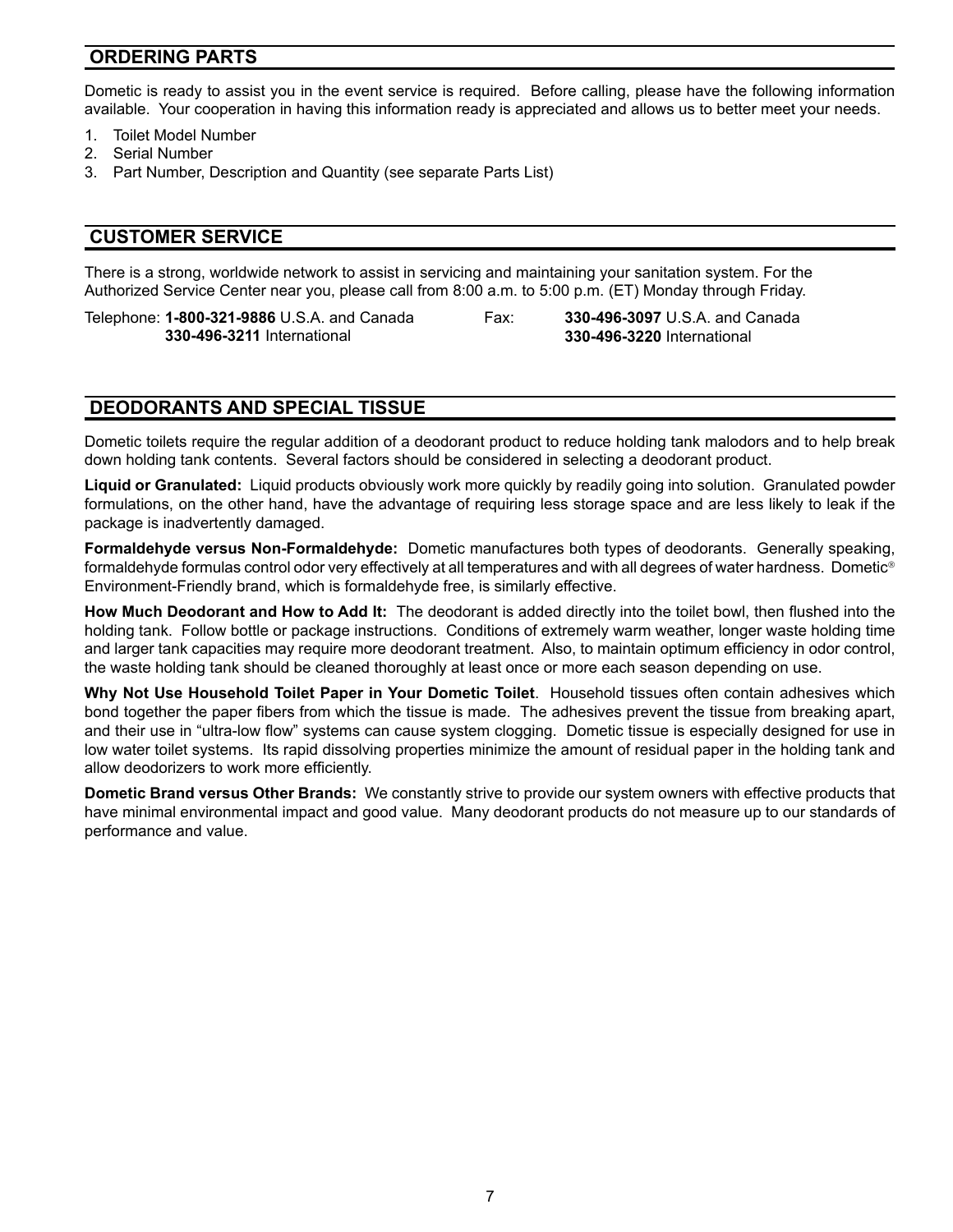#### **ORDERING PARTS**

Dometic is ready to assist you in the event service is required. Before calling, please have the following information available. Your cooperation in having this information ready is appreciated and allows us to better meet your needs.

- 1. Toilet Model Number
- 2. Serial Number
- 3. Part Number, Description and Quantity (see separate Parts List)

#### **CUSTOMER SERVICE**

There is a strong, worldwide network to assist in servicing and maintaining your sanitation system. For the Authorized Service Center near you, please call from 8:00 a.m. to 5:00 p.m. (ET) Monday through Friday.

Telephone: **1-800-321-9886** U.S.A. and Canada **330-496-3211** International

Fax: **330-496-3097** U.S.A. and Canada **330-496-3220** International

#### **DEODORANTS AND SPECIAL TISSUE**

Dometic toilets require the regular addition of a deodorant product to reduce holding tank malodors and to help break down holding tank contents. Several factors should be considered in selecting a deodorant product.

**Liquid or Granulated:** Liquid products obviously work more quickly by readily going into solution. Granulated powder formulations, on the other hand, have the advantage of requiring less storage space and are less likely to leak if the package is inadvertently damaged.

**Formaldehyde versus Non-Formaldehyde:** Dometic manufactures both types of deodorants. Generally speaking, formaldehyde formulas control odor very effectively at all temperatures and with all degrees of water hardness. Dometic Environment-Friendly brand, which is formaldehyde free, is similarly effective.

**How Much Deodorant and How to Add It:** The deodorant is added directly into the toilet bowl, then flushed into the holding tank. Follow bottle or package instructions. Conditions of extremely warm weather, longer waste holding time and larger tank capacities may require more deodorant treatment. Also, to maintain optimum efficiency in odor control, the waste holding tank should be cleaned thoroughly at least once or more each season depending on use.

**Why Not Use Household Toilet Paper in Your Dometic Toilet**. Household tissues often contain adhesives which bond together the paper fibers from which the tissue is made. The adhesives prevent the tissue from breaking apart, and their use in "ultra-low flow" systems can cause system clogging. Dometic tissue is especially designed for use in low water toilet systems. Its rapid dissolving properties minimize the amount of residual paper in the holding tank and allow deodorizers to work more efficiently.

**Dometic Brand versus Other Brands:** We constantly strive to provide our system owners with effective products that have minimal environmental impact and good value. Many deodorant products do not measure up to our standards of performance and value.